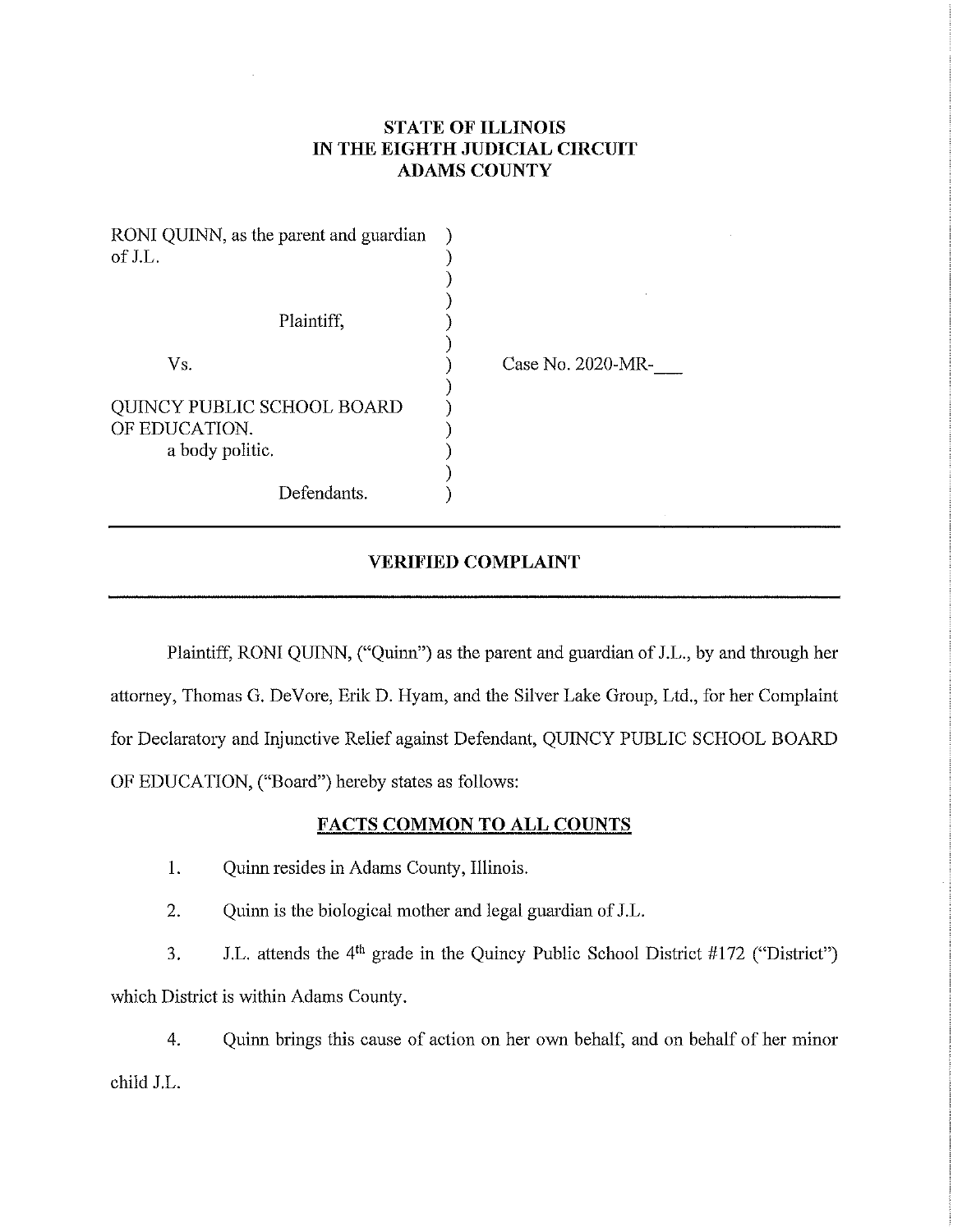# **STATE OF ILLINOIS IN THE EIGHTH JUDICIAL CIRCUIT ADAMS COUNTY**

| RONI QUINN, as the parent and guardian<br>of J.L.                     |                   |
|-----------------------------------------------------------------------|-------------------|
| Plaintiff,                                                            |                   |
| Vs.                                                                   | Case No. 2020-MR- |
| <b>QUINCY PUBLIC SCHOOL BOARD</b><br>OF EDUCATION.<br>a body politic. |                   |
| Defendants.                                                           |                   |

## **VERIFIED COMPLAINT**

Plaintiff, RONI QUINN, ("Quinn") as the parent and guardian of J.L., by and through her attorney, Thomas G. De Vore, Erik D. Hyam, and the Silver Lake Group, Ltd., for her Complaint for Declaratory and Injunctive Relief against Defendant, QUINCY PUBLIC SCHOOL BOARD OF EDUCATION, ("Board") hereby states as follows:

## **FACTS COMMON TO ALL COUNTS**

- 1. Quinn resides in Adams County, Illinois.
- 2. Quinn is the biological mother and legal guardian of J.L.

3. J.L. attends the  $4<sup>th</sup>$  grade in the Quincy Public School District #172 ("District") which District is within Adams County.

4. Quinn brings this cause of action on her own behalf, and on behalf of her minor child J.L.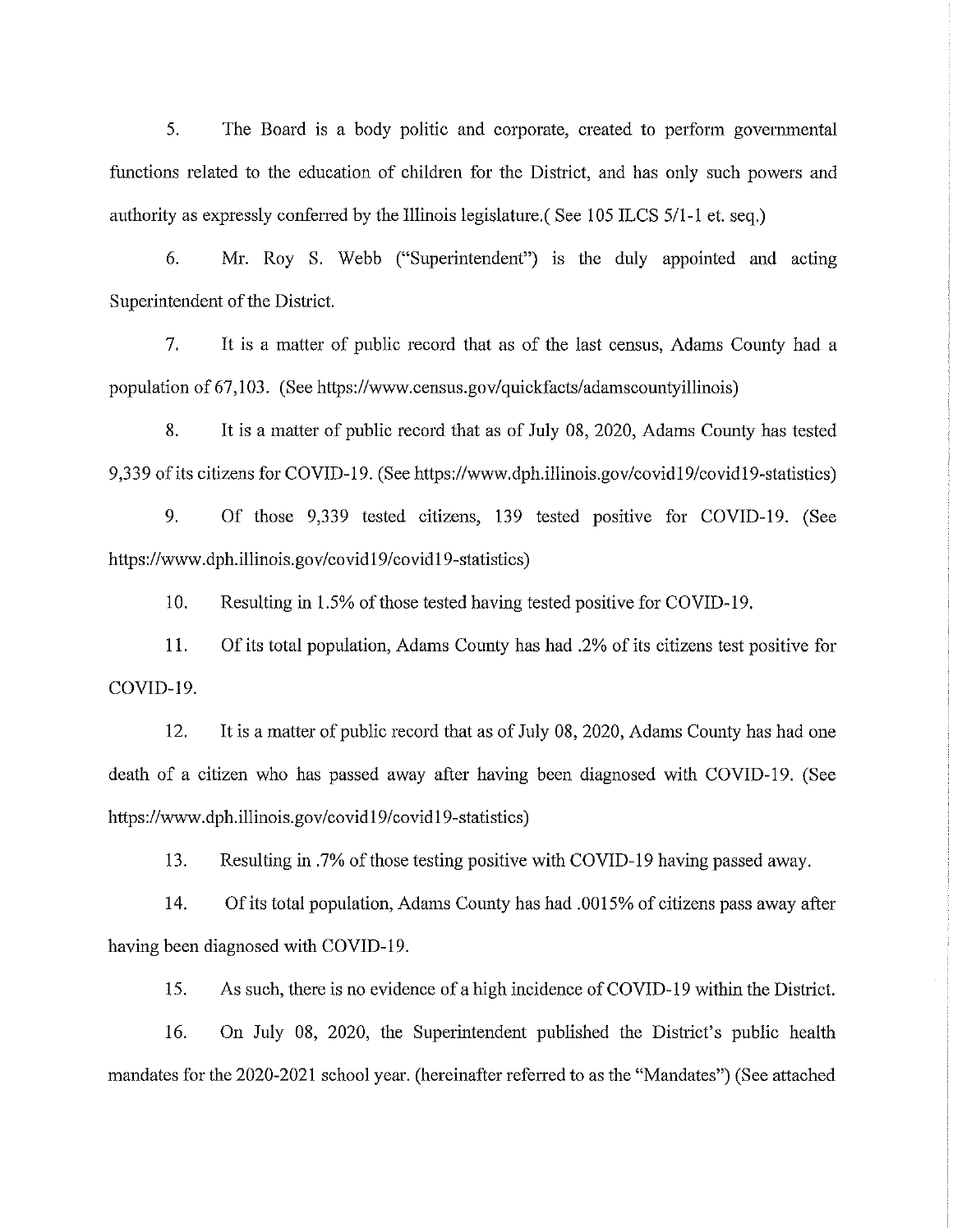5. The Board is a body politic and corporate, created to perform governmental functions related to the education of children for the District, and has only such powers and authority as expressly conferred by the Illinois legislature.( See 105 ILCS 5/1-1 et. seq.)

6. Mr. Roy S. Webb ("Superintendent") is the duly appointed and acting Superintendent of the District.

7. It is a matter of public record that as of the last census, Adams County had a population of 67,103. (See https://www.census.gov/quickfacts/adamscountyillinois)

8. It is a matter of public record that as of July 08, 2020, Adams County has tested 9,339 of its citizens for COVID-19. (See https://www.dph.illinois.gov/covidl 9/covid19-statistics)

9. Of those 9,339 tested citizens, 139 tested positive for COVID-19. (See https://www.dph.illinois.gov/covidl 9/covidl 9-statistics)

10. Resulting in 1.5% of those tested having tested positive for COVID-19.

11. Of its total population, Adams County has had .2% of its citizens test positive for COVID-19.

12. It is a matter of public record that as of July 08, 2020, Adams County has had one death of a citizen who has passed away after having been diagnosed with COVID-19. (See https://www.dph.illinois.gov/covidl 9/covidl 9-statistics)

13. Resulting in .7% of those testing positive with COVID-19 having passed away.

14. Of its total population, Adams County has had .0015% of citizens pass away after having been diagnosed with COVID-19.

15. As such, there is no evidence of a high incidence of COVID-19 within the District.

16. On July 08, 2020, the Superintendent published the District's public health mandates for the 2020-2021 school year. (hereinafter refened to as the "Mandates") (See attached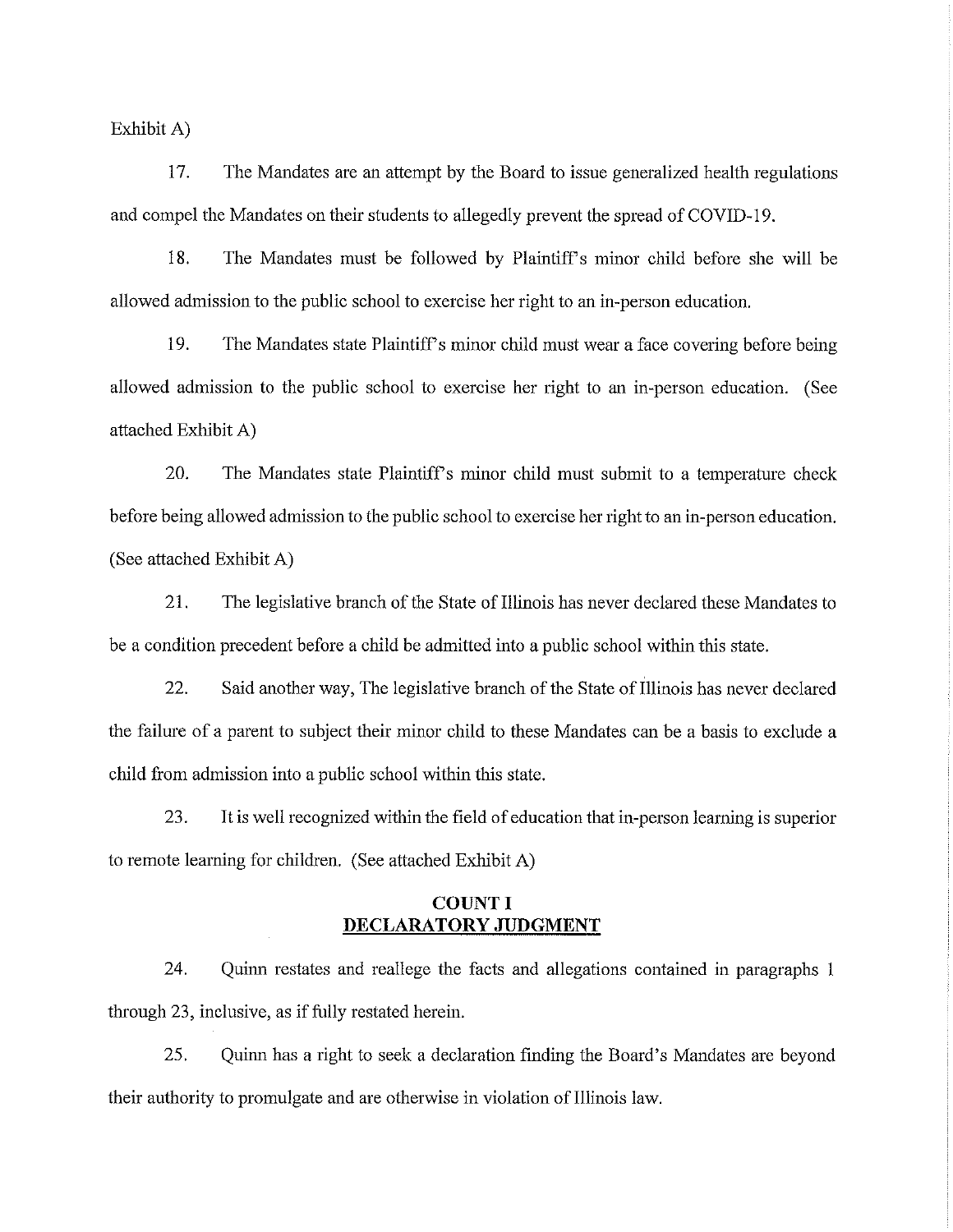Exhibit A)

17. The Mandates are an attempt by the Board to issue generalized health regulations and compel the Mandates on their students to allegedly prevent the spread of COVID-19.

18. The Mandates must be followed by Plaintiff's minor child before she will be allowed admission to the public school to exercise her right to an in-person education.

19. The Mandates state Plaintiff's minor child must wear a face covering before being allowed admission to the public school to exercise her right to an in-person education. (See attached Exhibit A)

20. The Mandates state Plaintiff's minor child must submit to a temperature check before being allowed admission to the public school to exercise her right to an in-person education. (See attached Exhibit A)

21. The legislative branch of the State of Illinois has never declared these Mandates to be a condition precedent before a child be admitted into a public school within this state.

22. Said another way, The legislative branch of the State of Illinois has never declared the failure of a parent to subject their minor child to these Mandates can be a basis to exclude a child from admission into a public school within this state.

23. It is well recognized within the field of education that in-person learning is superior to remote learning for children. (See attached Exhibit A)

# **COUNT I DECLARATORY JUDGMENT**

24. Quinn restates and reallege the facts and allegations contained in paragraphs 1 through 23, inclusive, as if fully restated herein.

25. Quinn has a right to seek a declaration finding the Board's Mandates are beyond their authority to promulgate and are otherwise in violation of Illinois law.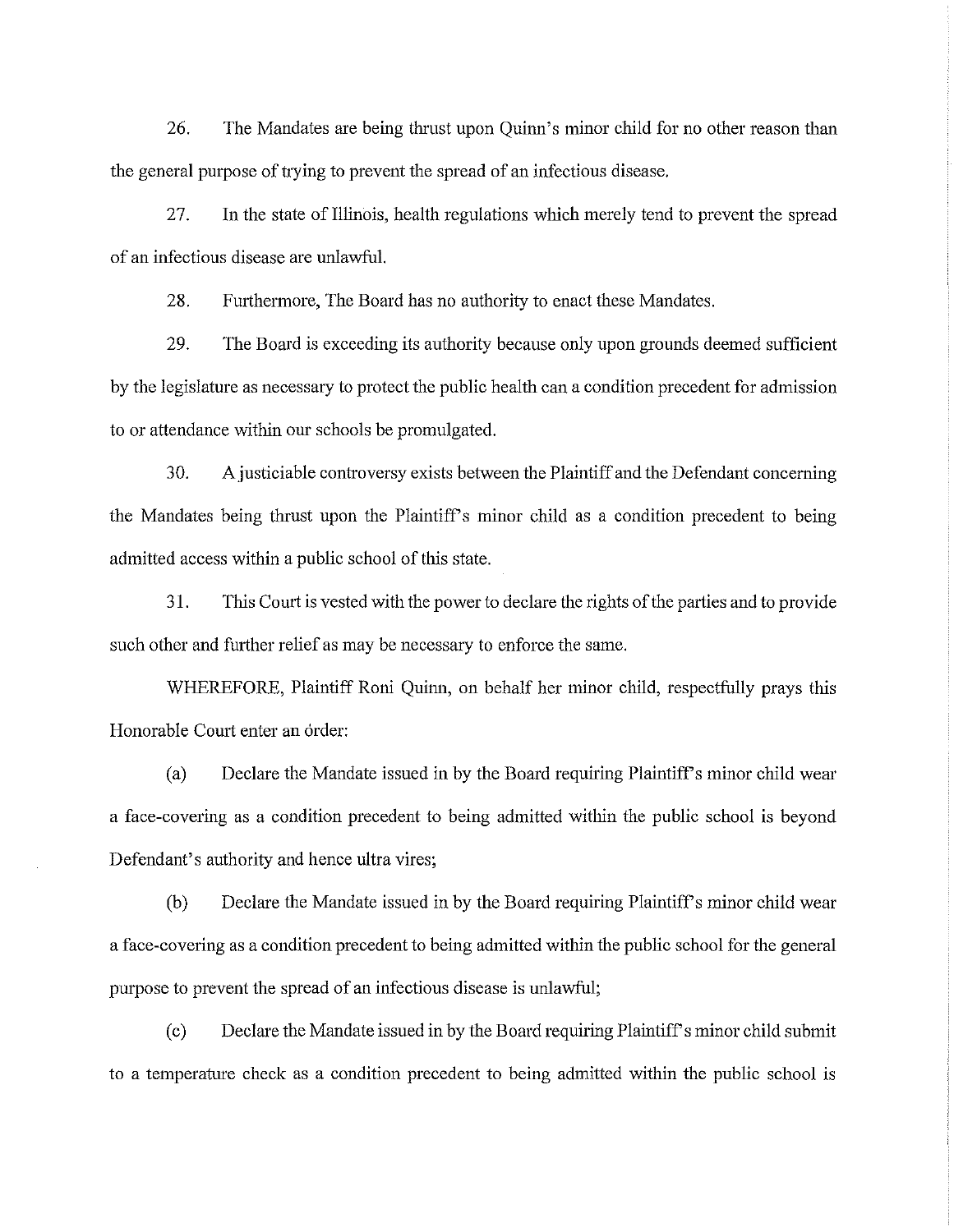26. The Mandates are being thrust upon Quinn's minor child for no other reason than the general purpose of trying to prevent the spread of an infectious disease.

27. In the state of Illinois, health regulations which merely tend to prevent the spread of an infectious disease are unlawful.

28. Furthermore, The Board has no authority to enact these Mandates.

29. The Board is exceeding its authority because only upon grounds deemed sufficient by the legislature as necessary to protect the public health can a condition precedent for admission to or attendance within our schools be promulgated.

30. A justiciable controversy exists between the Plaintiff and the Defendant concerning the Mandates being thrust upon the Plaintiff's minor child as a condition precedent to being admitted access within a public school of this state.

31. This Court is vested with the power to declare the rights of the parties and to provide such other and further relief as may be necessary to enforce the same.

WHEREFORE, Plaintiff Roni Quinn, on behalf her minor child, respectfully prays this Honorable Court enter an order:

(a) Declare the Mandate issued in by the Board requiring Plaintiffs minor child wear a face-covering as a condition precedent to being admitted within the public school is beyond Defendant's authority and hence ultra vires;

(b) Declare the Mandate issued in by the Board requiring Plaintiff's minor child wear a face-covering as a condition precedent to being admitted within the public school for the general purpose to prevent the spread of an infectious disease is unlawful;

( c) Declare the Mandate issued in by the Board requiring Plaintiffs minor child submit to a temperature check as a condition precedent to being admitted within the public school is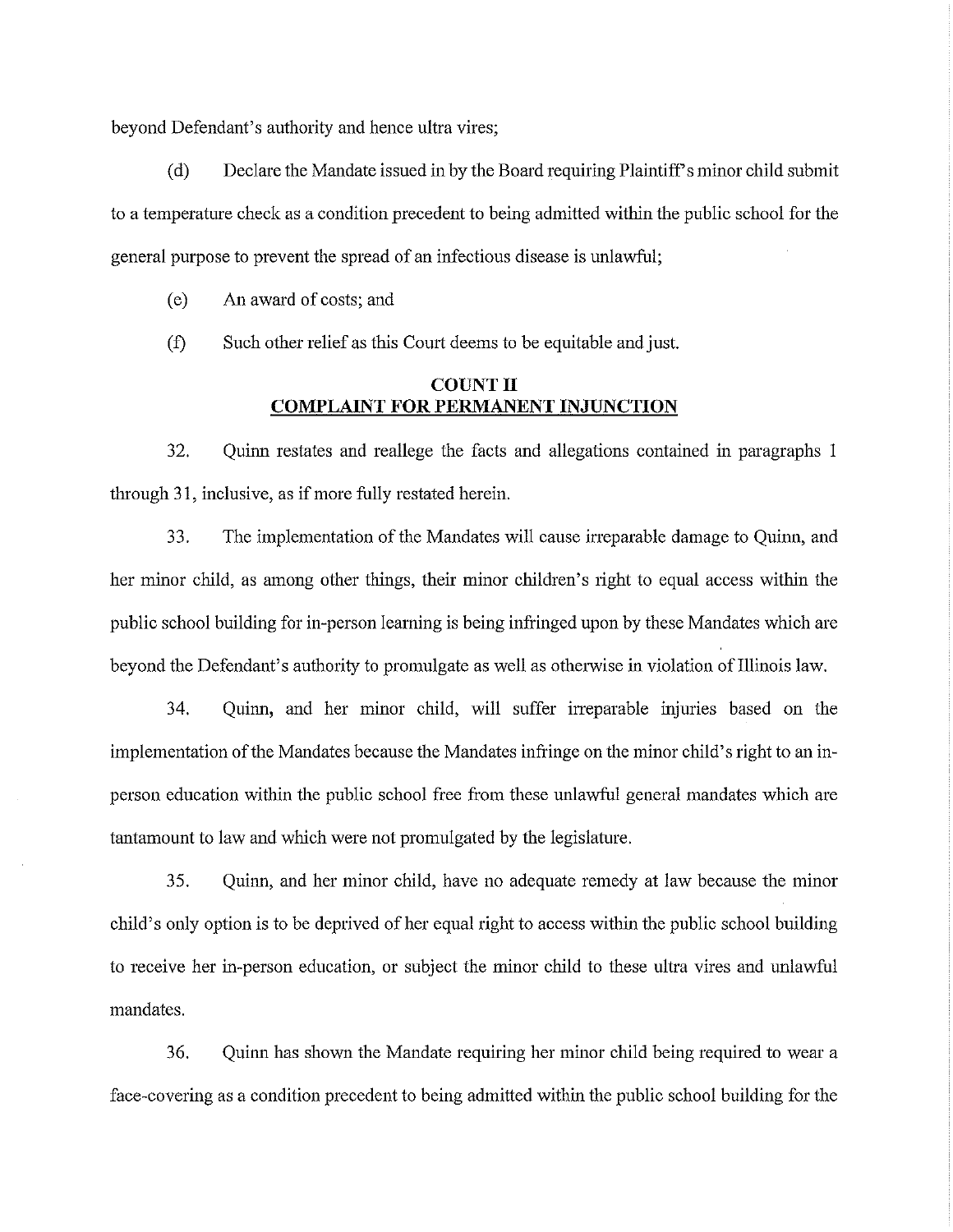beyond Defendant's authority and hence ultra vires;

( d) Declare the Mandate issued in by the Board requiring Plaintiffs minor child submit to a temperature check as a condition precedent to being admitted within the public school for the general purpose to prevent the spread of an infectious disease is unlawful;

(e) An award of costs; and

(f) Such other relief as this Court deems to be equitable and just.

# **COUNT II COMPLAINT FOR PERMANENT INJUNCTION**

32. Quinn restates and reallege the facts and allegations contained in paragraphs 1 through 31, inclusive, as if more fully restated herein.

3 3. The implementation of the Mandates will cause irreparable damage to Quinn, and her minor child, as among other things, their minor children's right to equal access within the public school building for in-person learning is being infringed upon by these Mandates which are beyond the Defendant's authority to promulgate as well as otherwise in violation of Illinois law.

34. Quinn, and her minor child, will suffer irreparable injuries based on the implementation of the Mandates because the Mandates infringe on the minor child's right to an inperson education within the public school free from these unlawful general mandates which are tantamount to law and which were not promulgated by the legislature.

35. Quinn, and her minor child, have no adequate remedy at law because the minor child's only option is to be deprived of her equal right to access within the public school building to receive her in-person education, or subject the minor child to these ultra vires and unlawful mandates.

36. Quinn has shown the Mandate requiring her minor child being required to wear a face-covering as a condition precedent to being admitted within the public school building for the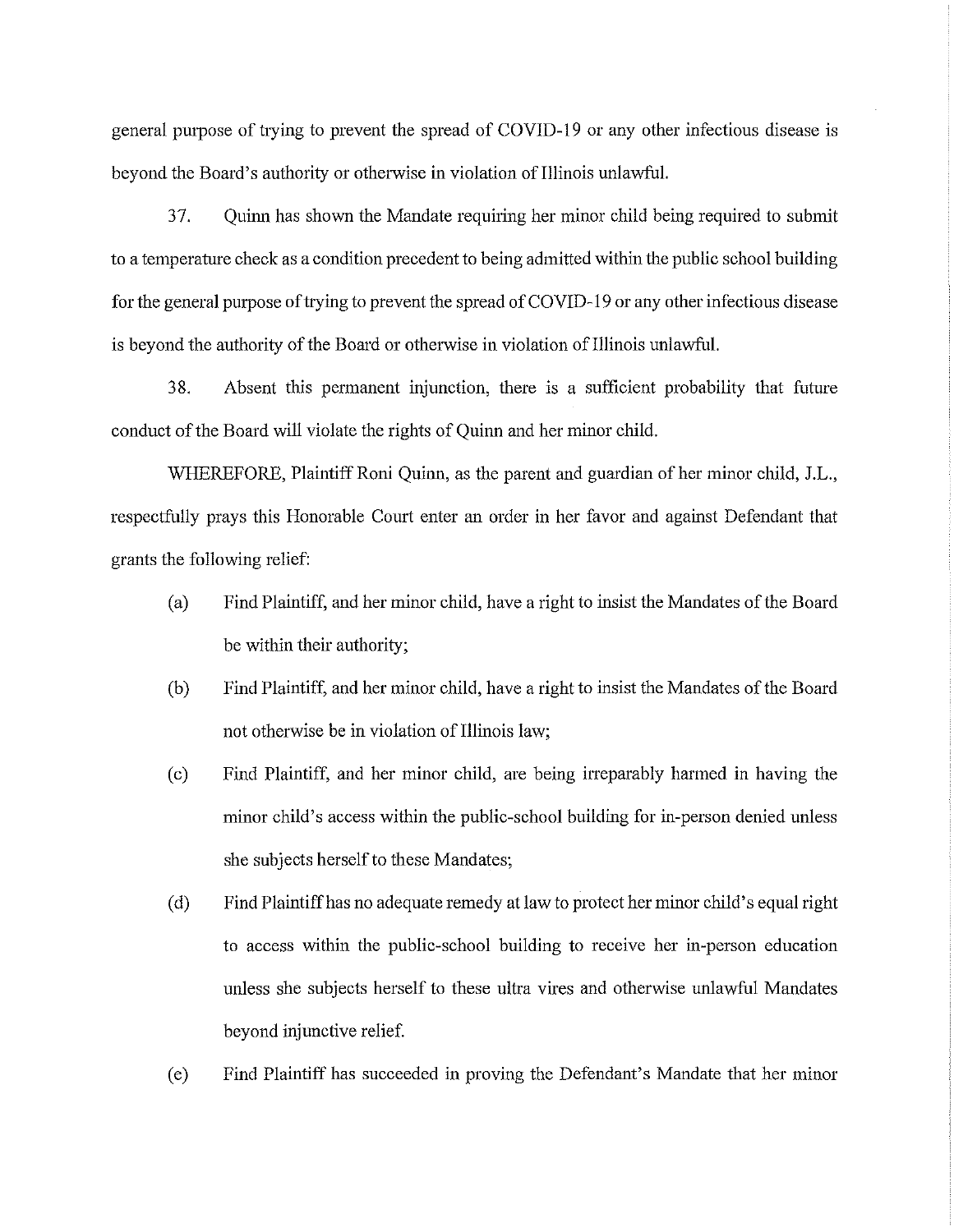general purpose of trying to prevent the spread of COVID-19 or any other infectious disease is beyond the Board's authority or otherwise in violation of Illinois unlawful.

37. Quinn has shown the Mandate requiring her minor child being required to submit to a temperature check as a condition precedent to being admitted within the public school building for the general purpose of tiying to prevent the spread of COVID-19 or any other infectious disease is beyond the authority of the Board or otherwise in violation of Illinois unlawful.

38. Absent this permanent injunction, there is a sufficient probability that future conduct of the Board will violate the rights of Quinn and her minor child.

WHEREFORE, Plaintiff Roni Quinn, as the parent and guardian of her minor child, J.L., respectfully prays this Honorable Court enter an order in her favor and against Defendant that grants the following relief:

- (a) Find Plaintiff, and her minor child, have a right to insist the Mandates of the Board be within their authority;
- (b) Find Plaintiff, and her minor child, have a right to insist the Mandates of the Board not otherwise be in violation of Illinois law;
- (c) Find Plaintiff, and her minor child, are being irreparably harmed in having the minor child's access within the public-school building for in-person denied unless she subjects herself to these Mandates;
- ( d) Find Plaintiff has no adequate remedy at law to protect her minor child's equal right to access within the public-school building to receive her in-person education unless she subjects herself to these ultra vires and otherwise unlawful Mandates beyond injunctive relief.
- ( e) Find Plaintiff has succeeded in proving the Defendant's Mandate that her minor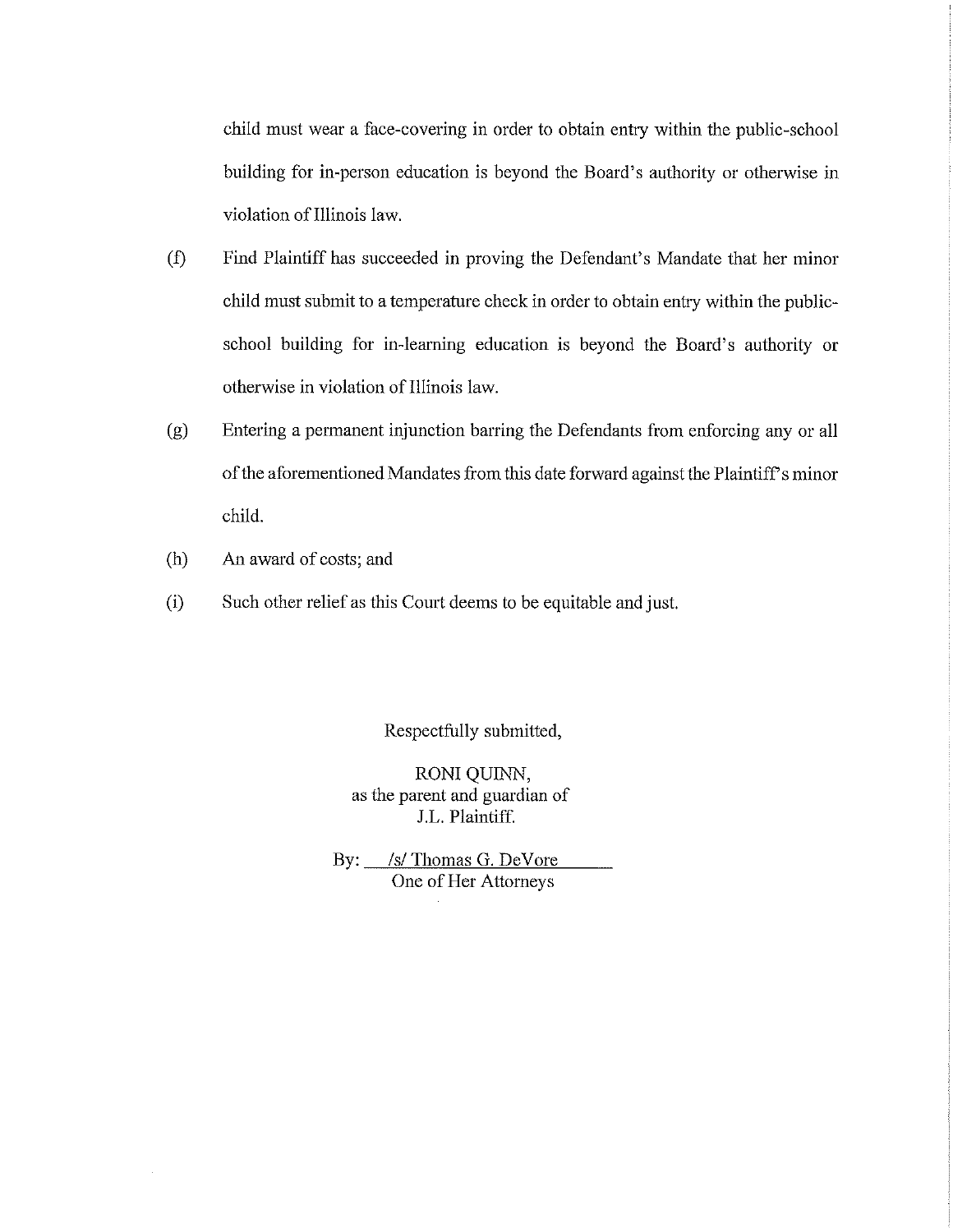child must wear a face-covering in order to obtain entry within the public-school building for in-person education is beyond the Board's authority or otherwise in violation of Illinois law.

- (f) Find Plaintiff has succeeded in proving the Defendant's Mandate that her minor child must submit to a temperature check in order to obtain entty within the publicschool building for in-learning education is beyond the Board's authority or otherwise in violation of Illinois law.
- (g) Entering a permanent injunction barring the Defendants from enforcing any or all of the aforementioned Mandates from this date forward against the Plaintiff's minor child.
- (h) An award of costs; and
- (i) Such other relief as this Comt deems to be equitable and just.

Respectfully submitted,

RONI QUINN, as the parent and guardian of J.L. Plaintiff.

By: /s/Thomas G. DeVore One of Her Attorneys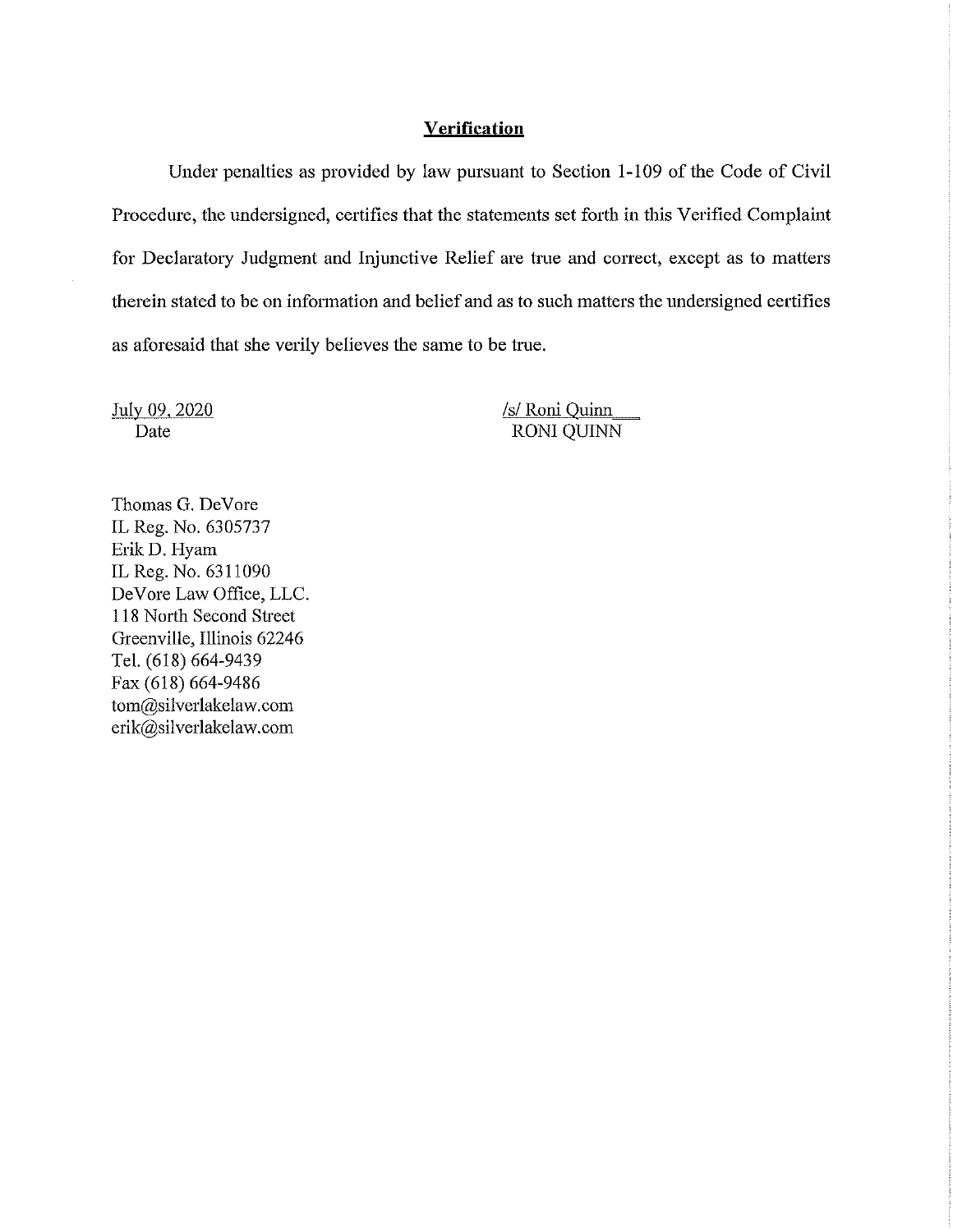#### **Verification**

Under penalties as provided by law pursuant to Section 1-109 of the Code of Civil Procedure, the undersigned, certifies that the statements set forth in this Verified Complaint for Declaratory Judgment and Injunctive Relief are true and correct, except as to matters therein stated to be on infonnation and belief and as to such matters the undersigned certifies as aforesaid that she verily believes the same to be ttue.

July 09, 2020 Date

*Isl* Roni Quinn RONI QUINN

Thomas G. DeVore IL Reg. No. 6305737 ErikD. Hyam IL Reg. No. 6311090 De Vore Law Office, LLC. 118 North Second Street Greenville, Illinois 62246 Tel. (618) 664-9439 Fax (618) 664-9486 tom@silverlakelaw.com erik@sil verlakelaw. com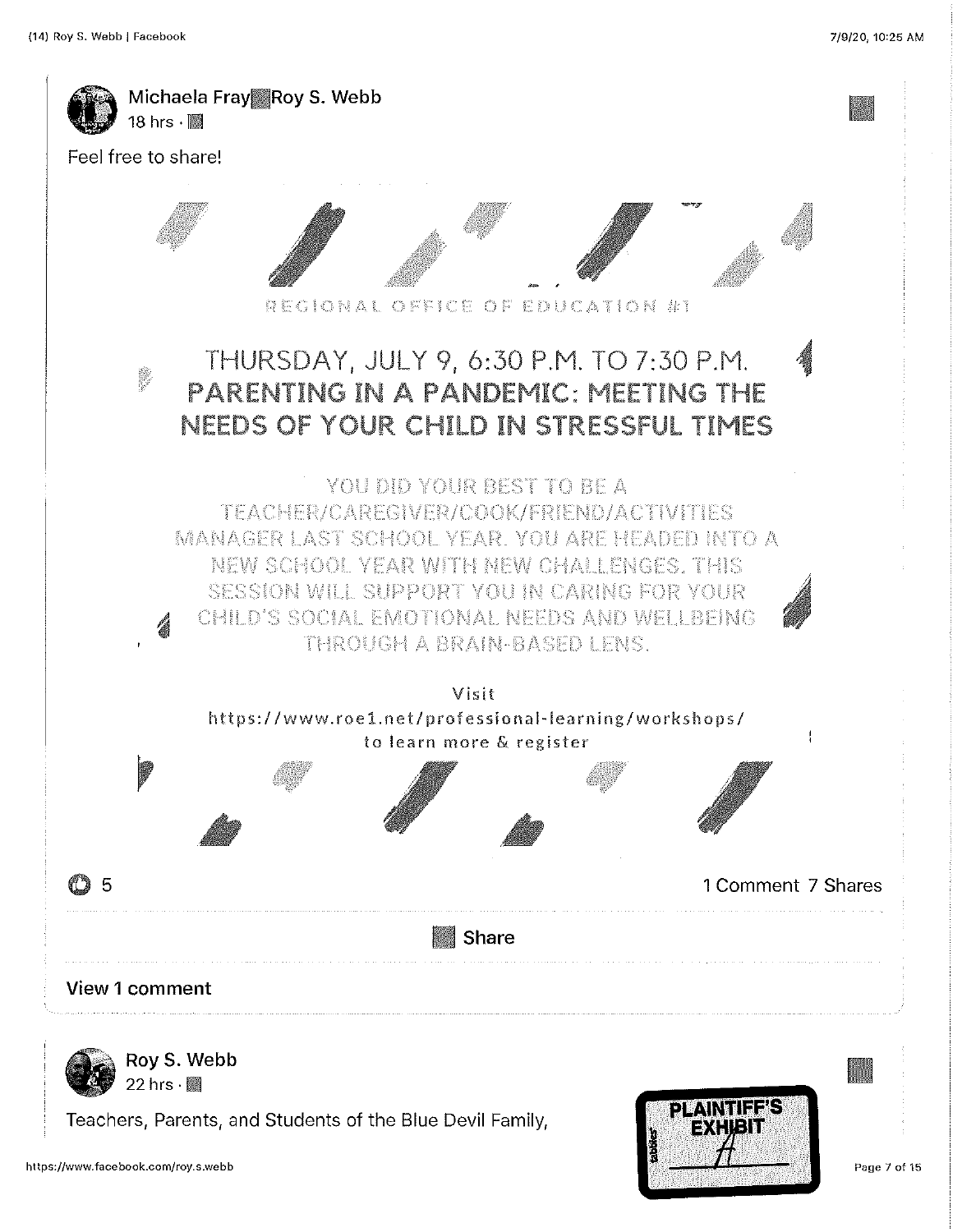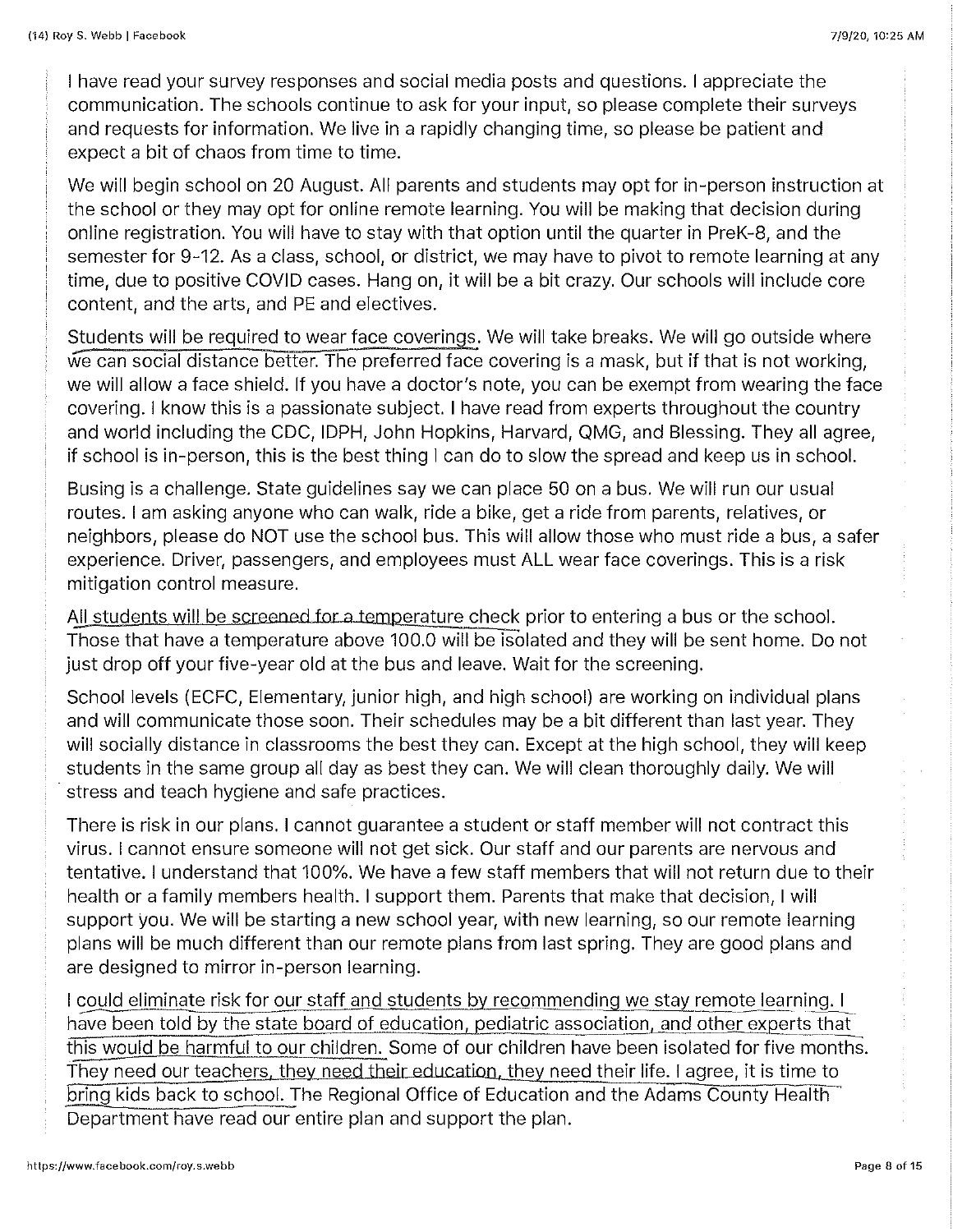I have read your survey responses and social media posts and questions. I appreciate the communication. The schools continue to ask for your input, so please complete their surveys and requests for information. We live in a rapidly changing time, so please be patient and expect a bit of chaos from time to time.

We will begin school on 20 August. All parents and students may opt for in-person instruction at the school or they may opt for online remote learning. You will be making that decision during online registration. You will have to stay with that option until the quarter in PreK-8, and the semester for 9-12. As a class, school, or district, we may have to pivot to remote learning at any time, due to positive COVID cases. Hang on, it will be a bit crazy. Our schools will include core content, and the arts, and PE and electives.

Students will be required to wear face coverings, We will take breaks. We will go outside where we can social distance better. The preferred face covering is a mask, but if that is not working, we will allow a face shield. If you have a doctor's note, you can be exempt from wearing the face covering. I know this is a passionate subject I have read from experts throughout the country and world including the CDC, IDPH, John Hopkins, Harvard, QMG, and Blessing. They all agree, if school is in-person, this is the best thing I can do to slow the spread and keep us in school.

Busing is a challenge. State guidelines say we can place 50 on a bus. We will run our usual routes. I am asking anyone who can walk, ride a bike, get a ride from parents, relatives, or neighbors, please do NOT use the school bus. This will allow those who must ride a bus, a safer experience. Driver, passengers, and employees must ALL wear face coverings. This is a risk mitigation control measure.

All students will be screened for a temperature check prior to entering a bus or the school. Those that have a temperature above 100.0 will be isolated and they will be sent home. Do not just drop off your five-year old at the bus and leave. Wait for the screening,

School levels (ECFC, Elementary, junior high, and high school) are working on individual plans and will communicate those soon. Their schedules may be a bit different than last year. They will socially distance in classrooms the best they can. Except at the high school, they will keep students in the same group all day as best they can. We will clean thoroughly daily. We will stress and teach hygiene and safe practices.

There is risk in our plans. I cannot guarantee a student or staff member will not contract this virus. I cannot ensure someone will not get sick. Our staff and our parents are nervous and tentative. I understand that 100%. We have a few staff members that will not return due to their health or a family members health. I support them. Parents that make that decision, I will support you. We will be starting a new school year, with new learning, so our remote learning plans will be much different than our remote plans from last spring. They are good plans and are designed to mirror in-person learning.

I could eliminate risk for our staff and students by recommending we stay remote learning. I have been told by the state board of education, pediatric association, and other experts that this would be harmful to our children. Some of our children have been isolated for five months. They need our teachers, they need their education, they need their life. I agree, it is time to bring kids back to school. The Regional Office of Education and the Adams County Health~ Department have read our entire plan and support the plan.